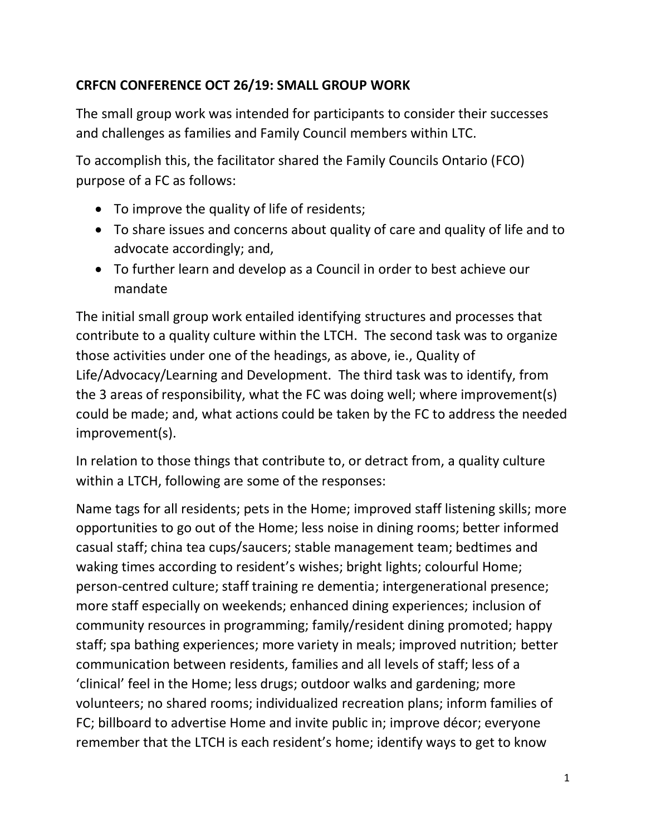## **CRFCN CONFERENCE OCT 26/19: SMALL GROUP WORK**

The small group work was intended for participants to consider their successes and challenges as families and Family Council members within LTC.

To accomplish this, the facilitator shared the Family Councils Ontario (FCO) purpose of a FC as follows:

- To improve the quality of life of residents;
- To share issues and concerns about quality of care and quality of life and to advocate accordingly; and,
- To further learn and develop as a Council in order to best achieve our mandate

The initial small group work entailed identifying structures and processes that contribute to a quality culture within the LTCH. The second task was to organize those activities under one of the headings, as above, ie., Quality of Life/Advocacy/Learning and Development. The third task was to identify, from the 3 areas of responsibility, what the FC was doing well; where improvement(s) could be made; and, what actions could be taken by the FC to address the needed improvement(s).

In relation to those things that contribute to, or detract from, a quality culture within a LTCH, following are some of the responses:

Name tags for all residents; pets in the Home; improved staff listening skills; more opportunities to go out of the Home; less noise in dining rooms; better informed casual staff; china tea cups/saucers; stable management team; bedtimes and waking times according to resident's wishes; bright lights; colourful Home; person-centred culture; staff training re dementia; intergenerational presence; more staff especially on weekends; enhanced dining experiences; inclusion of community resources in programming; family/resident dining promoted; happy staff; spa bathing experiences; more variety in meals; improved nutrition; better communication between residents, families and all levels of staff; less of a 'clinical' feel in the Home; less drugs; outdoor walks and gardening; more volunteers; no shared rooms; individualized recreation plans; inform families of FC; billboard to advertise Home and invite public in; improve décor; everyone remember that the LTCH is each resident's home; identify ways to get to know